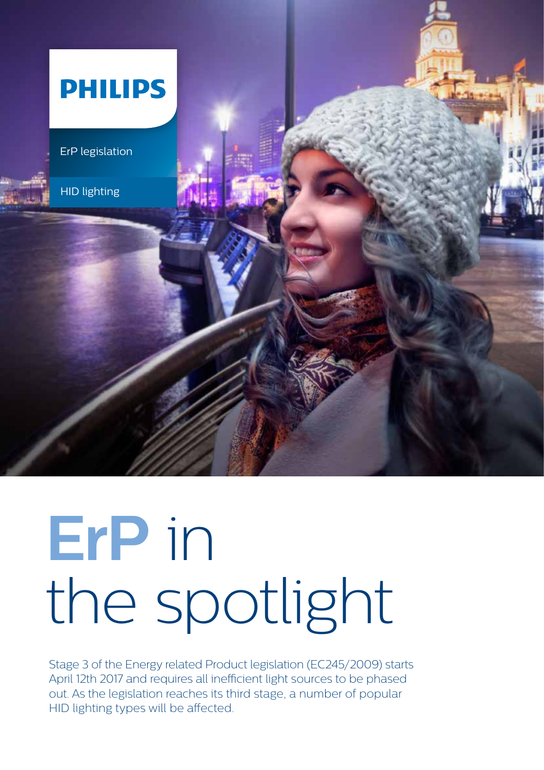

# **ErP** in the spotlight

Stage 3 of the Energy related Product legislation (EC245/2009) starts April 12th 2017 and requires all inefficient light sources to be phased out. As the legislation reaches its third stage, a number of popular HID lighting types will be affected.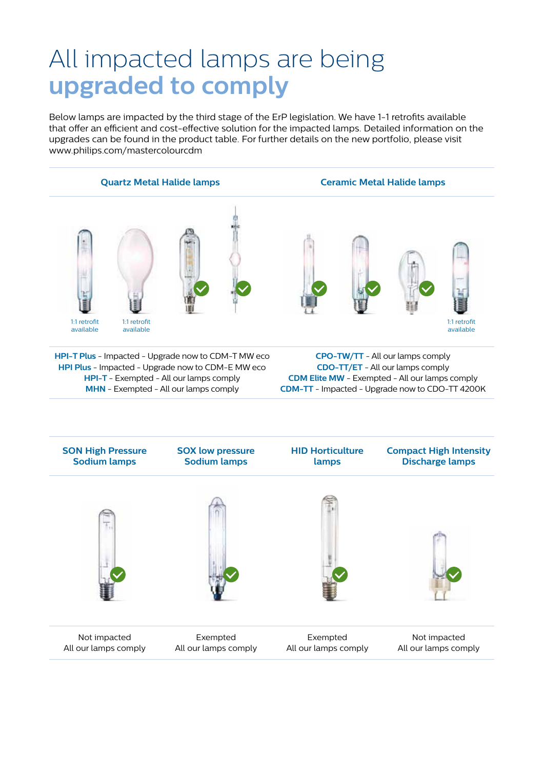# All impacted lamps are being **upgraded to comply**

Below lamps are impacted by the third stage of the ErP legislation. We have 1-1 retrofits available that offer an efficient and cost-effective solution for the impacted lamps. Detailed information on the upgrades can be found in the product table. For further details on the new portfolio, please visit www.philips.com/mastercolourcdm



**HPI-T Plus** - Impacted - Upgrade now to CDM-T MW eco **HPI Plus** - Impacted - Upgrade now to CDM-E MW eco **HPI-T** - Exempted - All our lamps comply **MHN** - Exempted - All our lamps comply

**CPO-TW/TT** - All our lamps comply **CDO-TT/ET** - All our lamps comply **CDM Elite MW** - Exempted - All our lamps comply **CDM-TT** - Impacted - Upgrade now to CDO-TT 4200K

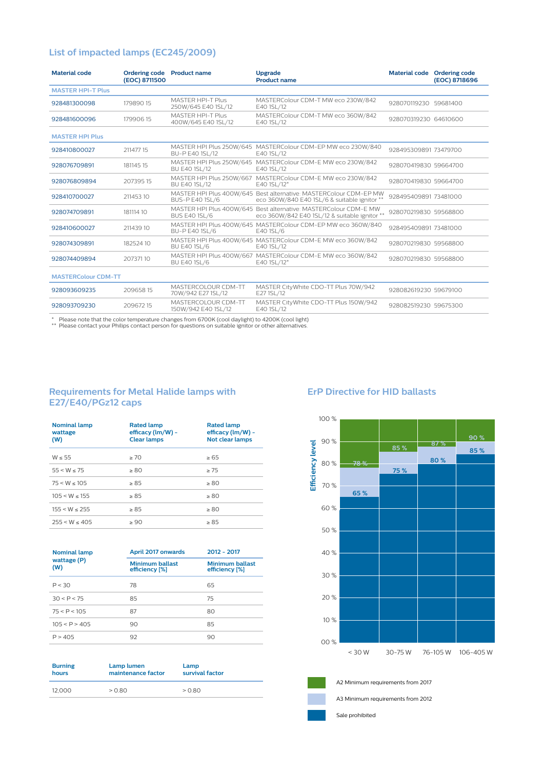# **List of impacted lamps (EC245/2009)**

| <b>Material code</b><br>Ordering code Product name<br>(EOC) 8711500 |           |                                                 | <b>Upgrade</b><br><b>Product name</b>                                                                             |                       | Material code Ordering code<br>(EOC) 8718696 |
|---------------------------------------------------------------------|-----------|-------------------------------------------------|-------------------------------------------------------------------------------------------------------------------|-----------------------|----------------------------------------------|
| <b>MASTER HPI-T Plus</b>                                            |           |                                                 |                                                                                                                   |                       |                                              |
| 928481300098                                                        | 17989015  | <b>MASTER HPI-T Plus</b><br>250W/645 E40 1SL/12 | MASTERColour CDM-T MW eco 230W/842<br>E40 1SL/12                                                                  | 928070119230 59681400 |                                              |
| 928481600096                                                        | 17990615  | <b>MASTER HPI-T Plus</b><br>400W/645 E40 1SL/12 | MASTERColour CDM-T MW eco 360W/842<br>E40 1SL/12                                                                  | 928070319230 64610600 |                                              |
| <b>MASTER HPI Plus</b>                                              |           |                                                 |                                                                                                                   |                       |                                              |
| 928410800027                                                        | 211477 15 | BU-P E40 1SL/12                                 | MASTER HPI Plus 250W/645 MASTERColour CDM-EP MW eco 230W/840<br>E40 1SL/12                                        | 928495309891 73479700 |                                              |
| 928076709891                                                        | 181145 15 | BU E40 1SL/12                                   | MASTER HPI Plus 250W/645 MASTERColour CDM-E MW eco 230W/842<br>E40 1SL/12                                         | 928070419830 59664700 |                                              |
| 928076809894                                                        | 20739515  | <b>BU E40 1SL/12</b>                            | MASTER HPI Plus 250W/667 MASTERColour CDM-E MW eco 230W/842<br>E40 1SL/12*                                        | 928070419830 59664700 |                                              |
| 928410700027                                                        | 21145310  | <b>BUS-P E40 1SL/6</b>                          | MASTER HPI Plus 400W/645 Best alternative: MASTERColour CDM-EP MW<br>eco 360W/840 E40 1SL/6 & suitable ignitor    | 928495409891 73481000 |                                              |
| 928074709891                                                        | 181114 10 | <b>BUS E40 1SL/6</b>                            | MASTER HPI Plus 400W/645 Best alternative: MASTERColour CDM-E MW<br>eco 360W/842 E40 1SL/12 & suitable ignitor ** | 928070219830 59568800 |                                              |
| 928410600027                                                        | 211439 10 | BU-P E40 1SL/6                                  | MASTER HPI Plus 400W/645 MASTERColour CDM-EP MW eco 360W/840<br>E40 1SL/6                                         | 928495409891 73481000 |                                              |
| 928074309891                                                        | 18252410  | <b>BU E40 1SL/6</b>                             | MASTER HPI Plus 400W/645 MASTERColour CDM-E MW eco 360W/842<br>E40 1SL/12                                         | 928070219830 59568800 |                                              |
| 928074409894                                                        | 20737110  | <b>BU E40 1SL/6</b>                             | MASTER HPI Plus 400W/667 MASTERColour CDM-E MW eco 360W/842<br>E40 1SL/12*                                        | 928070219830 59568800 |                                              |
| <b>MASTERColour CDM-TT</b>                                          |           |                                                 |                                                                                                                   |                       |                                              |
| 928093609235                                                        | 20965815  | MASTERCOLOUR CDM-TT<br>70W/942 E27 1SL/12       | MASTER CityWhite CDO-TT Plus 70W/942<br>E27 1SL/12                                                                | 928082619230 59679100 |                                              |
| 928093709230                                                        | 20967215  | MASTERCOLOUR CDM-TT<br>150W/942 E40 1SL/12      | MASTER CityWhite CDO-TT Plus 150W/942<br>E40 1SL/12                                                               | 928082519230 59675300 |                                              |
|                                                                     |           |                                                 |                                                                                                                   |                       |                                              |

\* Please note that the color temperature changes from 6700K (cool daylight) to 4200K (cool light) \*\* Please contact your Philips contact person for questions on suitable ignitor or other alternatives.

# **Requirements for Metal Halide lamps with E27/E40/PGz12 caps**

| <b>Nominal lamp</b><br>wattage<br>(W) | <b>Rated lamp</b><br>efficacy (lm/W) -<br><b>Clear lamps</b> | <b>Rated lamp</b><br>efficacy (lm/W) -<br><b>Not clear lamps</b> |
|---------------------------------------|--------------------------------------------------------------|------------------------------------------------------------------|
| $W \leq 55$                           | >70                                                          | > 65                                                             |
| 55 < W < 75                           | > 80                                                         | >75                                                              |
| 75 < W < 105                          | > 85                                                         | $\geq 80$                                                        |
| $105 < W \le 155$                     | > 85                                                         | $\geq 80$                                                        |
| 155 < W < 255                         | $\geq 85$                                                    | $\geq 80$                                                        |
| 255 < W < 405                         | $\geq 90$                                                    | $\geq 85$                                                        |

| <b>Nominal lamp</b> | <b>April 2017 onwards</b>                | 2012 - 2017                              |  |  |  |
|---------------------|------------------------------------------|------------------------------------------|--|--|--|
| wattage (P)<br>(W)  | <b>Minimum ballast</b><br>efficiency [%] | <b>Minimum ballast</b><br>efficiency [%] |  |  |  |
| P < 30              | 78                                       | 65                                       |  |  |  |
| 30 < P < 75         | 85                                       | 75                                       |  |  |  |
| 75 < P < 105        | 87                                       | 80                                       |  |  |  |
| 105 < P > 405       | 90                                       | 85                                       |  |  |  |
| P > 405             | 92                                       | 90                                       |  |  |  |

| <b>Burning</b> | Lamp lumen         | Lamp            |
|----------------|--------------------|-----------------|
| hours          | maintenance factor | survival factor |
| 12.000         | > 0.80             | > 0.80          |

# **ErP Directive for HID ballasts**





A3 Minimum requirements from 2012

Sale prohibited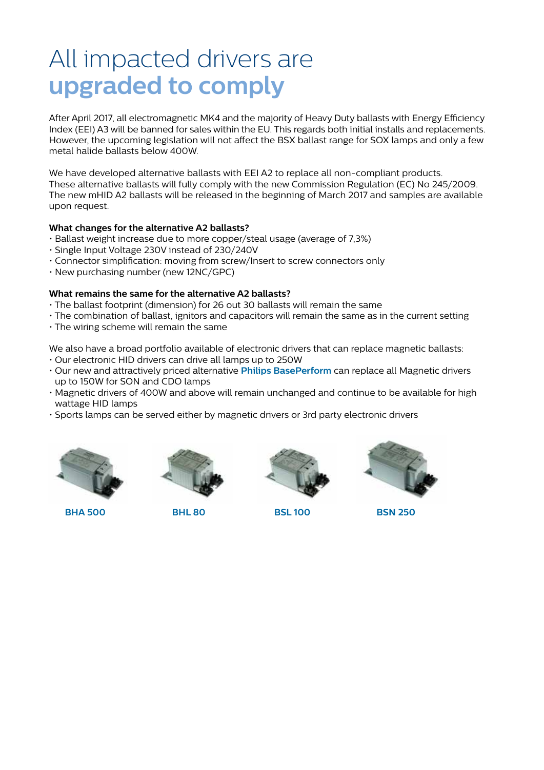# All impacted drivers are **upgraded to comply**

After April 2017, all electromagnetic MK4 and the majority of Heavy Duty ballasts with Energy Efficiency Index (EEI) A3 will be banned for sales within the EU. This regards both initial installs and replacements. However, the upcoming legislation will not affect the BSX ballast range for SOX lamps and only a few metal halide ballasts below 400W.

We have developed alternative ballasts with EEI A2 to replace all non-compliant products. These alternative ballasts will fully comply with the new Commission Regulation (EC) No 245/2009. The new mHID A2 ballasts will be released in the beginning of March 2017 and samples are available upon request.

## **What changes for the alternative A2 ballasts?**

- Ballast weight increase due to more copper/steal usage (average of 7,3%)
- Single Input Voltage 230V instead of 230/240V
- Connector simplification: moving from screw/Insert to screw connectors only
- New purchasing number (new 12NC/GPC)

# **What remains the same for the alternative A2 ballasts?**

- The ballast footprint (dimension) for 26 out 30 ballasts will remain the same
- The combination of ballast, ignitors and capacitors will remain the same as in the current setting
- The wiring scheme will remain the same

We also have a broad portfolio available of electronic drivers that can replace magnetic ballasts:

- Our electronic HID drivers can drive all lamps up to 250W
- Our new and attractively priced alternative **Philips BasePerform** can replace all Magnetic drivers up to 150W for SON and CDO lamps
- Magnetic drivers of 400W and above will remain unchanged and continue to be available for high wattage HID lamps
- Sports lamps can be served either by magnetic drivers or 3rd party electronic drivers



**BHA 500 BHL 80 BSL 100 BSN 250**





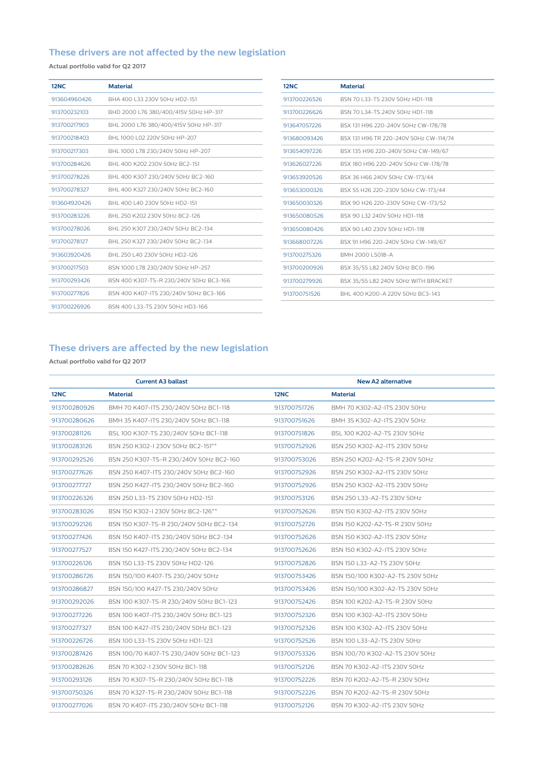# **These drivers are not affected by the new legislation**

**Actual portfolio valid for Q2 2017**

| 12NC         | <b>Material</b>                         |
|--------------|-----------------------------------------|
| 913604960426 | BHA 400 L33 230V 50Hz HD2-151           |
| 913700232103 | BHD 2000 L76 380/400/415V 50Hz HP-317   |
| 913700217903 | BHL 2000 L76 380/400/415V 50Hz HP-317   |
| 913700218403 | BHL 1000 L02 220V 50Hz HP-207           |
| 913700217303 | BHL 1000 L78 230/240V 50Hz HP-207       |
| 913700284626 | BHI 400 K202 230V 50Hz BC2-151          |
| 913700278226 | BHL 400 K307 230/240V 50Hz BC2-160      |
| 913700278327 | BHL 400 K327 230/240V 50Hz BC2-160      |
| 913604920426 | BHL 400 L40 230V 50Hz HD2-151           |
| 913700283226 | BHI 250 K202 230V 50Hz BC2-126          |
| 913700278026 | BHL 250 K307 230/240V 50Hz BC2-134      |
| 913700278127 | BHL 250 K327 230/240V 50Hz BC2-134      |
| 913603920426 | BHL 250 L40 230V 50Hz HD2-126           |
| 913700217503 | BSN 1000 L78 230/240V 50Hz HP-257       |
| 913700293426 | BSN 400 K307-TS-R 230/240V 50Hz BC3-166 |
| 913700277826 | BSN 400 K407-ITS 230/240V 50Hz BC3-166  |
| 913700226926 | BSN 400   33-TS 230V 50Hz HD3-166       |

| 12NC         | <b>Material</b>                        |
|--------------|----------------------------------------|
| 913700226526 | BSN 70 L33-TS 230V 50Hz HD1-118        |
| 913700226626 | BSN 70   34-TS 240V 50Hz HD1-118       |
| 913647057226 | BSX 131 H96 220-240V 50Hz CW-178/78    |
| 913680093426 | BSX 131 H96 TR 220-240V 50Hz CW-114/74 |
| 913654097226 | BSX 135 H96 220-240V 50Hz CW-149/67    |
| 913626027226 | BSX 180 H96 220-240V 50Hz CW-178/78    |
| 913653920526 | BSX 36 H66 240V 50Hz CW-173/44         |
| 913653000326 | BSX 55 H26 220-230V 50Hz CW-173/44     |
| 913650030326 | BSX 90 H26 220-230V 50Hz CW-173/52     |
| 913650080526 | BSX 90   32 240V 50Hz HD1-118          |
| 913650080426 | BSX 90   40 230V 50Hz HD1-118          |
| 913668007226 | BSX 91 H96 220-240V 50Hz CW-149/67     |
| 913700275326 | BMH 2000 L5018-A                       |
| 913700200926 | BSX 35/55 L82 240V 50Hz BC0-196        |
| 913700279926 | BSX 35/55 L82 240V 50Hz WITH BRACKET   |
| 913700751526 | BHI 400 K200-A 220V 50Hz BC3-143       |
|              |                                        |

# **These drivers are affected by the new legislation**

**Actual portfolio valid for Q2 2017**

|              | <b>Current A3 ballast</b>                |              | <b>New A2 alternative</b>        |
|--------------|------------------------------------------|--------------|----------------------------------|
| <b>12NC</b>  | <b>Material</b>                          | <b>12NC</b>  | <b>Material</b>                  |
| 913700280926 | BMH 70 K407-ITS 230/240V 50Hz BC1-118    | 913700751726 | BMH 70 K302-A2-ITS 230V 50Hz     |
| 913700280626 | BMH 35 K407-ITS 230/240V 50Hz BC1-118    | 913700751626 | BMH 35 K302-A2-ITS 230V 50Hz     |
| 913700281126 | BSL 100 K307-TS 230/240V 50Hz BC1-118    | 913700751826 | BSL 100 K202-A2-TS 230V 50Hz     |
| 913700283126 | BSN 250 K302-I 230V 50Hz BC2-151**       | 913700752926 | BSN 250 K302-A2-ITS 230V 50Hz    |
| 913700292526 | BSN 250 K307-TS-R 230/240V 50Hz BC2-160  | 913700753026 | BSN 250 K202-A2-TS-R 230V 50Hz   |
| 913700277626 | BSN 250 K407-ITS 230/240V 50Hz BC2-160   | 913700752926 | BSN 250 K302-A2-ITS 230V 50Hz    |
| 913700277727 | BSN 250 K427-ITS 230/240V 50Hz BC2-160   | 913700752926 | BSN 250 K302-A2-ITS 230V 50Hz    |
| 913700226326 | BSN 250 L33-TS 230V 50Hz HD2-151         | 913700753126 | BSN 250 L33-A2-TS 230V 50Hz      |
| 913700283026 | BSN 150 K302-I 230V 50Hz BC2-126**       | 913700752626 | BSN 150 K302-A2-ITS 230V 50Hz    |
| 913700292126 | BSN 150 K307-TS-R 230/240V 50Hz BC2-134  | 913700752726 | BSN 150 K202-A2-TS-R 230V 50Hz   |
| 913700277426 | BSN 150 K407-ITS 230/240V 50Hz BC2-134   | 913700752626 | BSN 150 K302-A2-ITS 230V 50Hz    |
| 913700277527 | BSN 150 K427-ITS 230/240V 50Hz BC2-134   | 913700752626 | BSN 150 K302-A2-ITS 230V 50Hz    |
| 913700226126 | BSN 150 L33-TS 230V 50Hz HD2-126         | 913700752826 | BSN 150 L33-A2-TS 230V 50Hz      |
| 913700286726 | BSN 150/100 K407-TS 230/240V 50Hz        | 913700753426 | BSN 150/100 K302-A2-TS 230V 50Hz |
| 913700286827 | BSN 150/100 K427-TS 230/240V 50Hz        | 913700753426 | BSN 150/100 K302-A2-TS 230V 50Hz |
| 913700292026 | BSN 100 K307-TS-R 230/240V 50Hz BC1-123  | 913700752426 | BSN 100 K202-A2-TS-R 230V 50Hz   |
| 913700277226 | BSN 100 K407-ITS 230/240V 50Hz BC1-123   | 913700752326 | BSN 100 K302-A2-ITS 230V 50Hz    |
| 913700277327 | BSN 100 K427-ITS 230/240V 50Hz BC1-123   | 913700752326 | BSN 100 K302-A2-ITS 230V 50Hz    |
| 913700226726 | BSN 100 L33-TS 230V 50Hz HD1-123         | 913700752526 | BSN 100 L33-A2-TS 230V 50Hz      |
| 913700287426 | BSN 100/70 K407-TS 230/240V 50Hz BC1-123 | 913700753326 | BSN 100/70 K302-A2-TS 230V 50Hz  |
| 913700282626 | BSN 70 K302-I 230V 50Hz BC1-118          | 913700752126 | BSN 70 K302-A2-ITS 230V 50Hz     |
| 913700293126 | BSN 70 K307-TS-R 230/240V 50Hz BC1-118   | 913700752226 | BSN 70 K202-A2-TS-R 230V 50Hz    |
| 913700750326 | BSN 70 K327-TS-R 230/240V 50Hz BC1-118   | 913700752226 | BSN 70 K202-A2-TS-R 230V 50Hz    |
| 913700277026 | BSN 70 K407-ITS 230/240V 50Hz BC1-118    | 913700752126 | BSN 70 K302-A2-ITS 230V 50Hz     |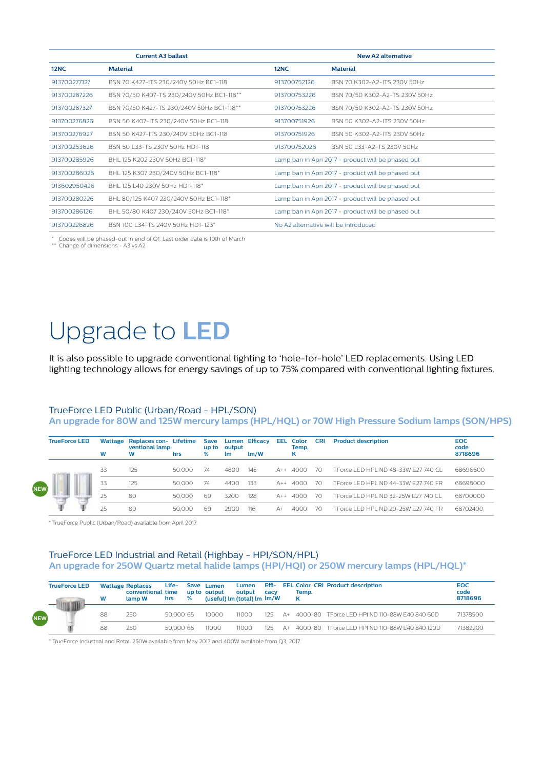|              | <b>Current A3 ballast</b>                 |                                      | <b>New A2 alternative</b>                          |
|--------------|-------------------------------------------|--------------------------------------|----------------------------------------------------|
| <b>12NC</b>  | <b>Material</b>                           | 12NC                                 | <b>Material</b>                                    |
| 913700277127 | BSN 70 K427-ITS 230/240V 50Hz BC1-118     | 913700752126                         | BSN 70 K302-A2-ITS 230V 50Hz                       |
| 913700287226 | BSN 70/50 K407-TS 230/240V 50Hz BC1-118** | 913700753226                         | BSN 70/50 K302-A2-TS 230V 50Hz                     |
| 913700287327 | BSN 70/50 K427-TS 230/240V 50Hz BC1-118** | 913700753226                         | BSN 70/50 K302-A2-TS 230V 50Hz                     |
| 913700276826 | BSN 50 K407-ITS 230/240V 50Hz BC1-118     | 913700751926                         | BSN 50 K302-A2-ITS 230V 50Hz                       |
| 913700276927 | BSN 50 K427-ITS 230/240V 50Hz BC1-118     | 913700751926                         | BSN 50 K302-A2-ITS 230V 50Hz                       |
| 913700253626 | BSN 50   33-TS 230V 50Hz HD1-118          | 913700752026                         | BSN 50   33-A2-TS 230V 50Hz                        |
| 913700285926 | BHL 125 K202 230V 50Hz BC1-118*           |                                      | Lamp ban in Apri 2017 - product will be phased out |
| 913700286026 | BHL 125 K307 230/240V 50Hz BC1-118*       |                                      | Lamp ban in Apri 2017 - product will be phased out |
| 913602950426 | BHI 125   40 230V 50Hz HD1-118*           |                                      | Lamp ban in Apri 2017 - product will be phased out |
| 913700280226 | BHL 80/125 K407 230/240V 50Hz BC1-118*    |                                      | Lamp ban in Apri 2017 - product will be phased out |
| 913700286126 | BHL 50/80 K407 230/240V 50Hz BC1-118*     |                                      | Lamp ban in Apri 2017 - product will be phased out |
| 913700226826 | BSN 100   34-TS 240V 50Hz HD1-123*        | No A2 alternative will be introduced |                                                    |

\* Codes will be phased-out in end of Q1. Last order date is 10th of March \*\* Change of dimensions - A3 vs A2

# Upgrade to **LED**

It is also possible to upgrade conventional lighting to 'hole-for-hole' LED replacements. Using LED lighting technology allows for energy savings of up to 75% compared with conventional lighting fixtures.

#### TrueForce LED Public (Urban/Road - HPL/SON)

**An upgrade for 80W and 125W mercury lamps (HPL/HQL) or 70W High Pressure Sodium lamps (SON/HPS)**

|            | <b>TrueForce LED</b> | W  | Wattage Replaces con- Lifetime<br>ventional lamp<br>w | hrs    | Save<br>% | up to output<br><b>Lm</b> | Lumen Efficacy<br>$\mathsf{Im}/\mathsf{W}$ |             | <b>EEL</b> Color<br>Temp.<br>κ | <b>CRI</b> | <b>Product description</b>           | <b>EOC</b><br>code<br>8718696 |
|------------|----------------------|----|-------------------------------------------------------|--------|-----------|---------------------------|--------------------------------------------|-------------|--------------------------------|------------|--------------------------------------|-------------------------------|
|            |                      | 33 | 125                                                   | 50.000 | 74        | 4800                      | 145                                        | $A++$       | 4000                           | -70        | TForce LED HPL ND 48-33W E27 740 CL  | 68696600                      |
| $\equiv$ W |                      | 33 | 125                                                   | 50,000 | 74        | 4400                      | -133                                       | $A++$       | 4000                           | -70        | TEorce LED HPL ND 44-33W E27 740 FR  | 68698000                      |
|            |                      | 25 | 80                                                    | 50,000 | 69        | 3200                      | 128                                        | $\Delta$ ++ | 4000                           | -70        | TEorce LED HPL ND 32-25W E27 740 CL  | 68700000                      |
|            |                      | 25 | 80                                                    | 50,000 | 69        | 2900                      | 116                                        |             | 4000                           | 70         | TEorce I ED HPL ND 29-25W E27 740 ER | 68702400                      |

\* TrueForce Public (Urban/Road) available from April 2017.

**NEW**

**NEW**

### TrueForce LED Industrial and Retail (Highbay - HPI/SON/HPL) **An upgrade for 250W Quartz metal halide lamps (HPI/HQI) or 250W mercury lamps (HPL/HQL)\***

| <b>TrueForce LED</b> | W  | <b>Wattage Replaces</b><br>conventional time<br>lamp W | Life-<br>hrs | % | Save Lumen<br>up to output<br>(useful) lm (total) lm lm/W | Lumen<br>output | cacy |      | Temp.<br>κ | Effi- EEL Color CRI Product description       | <b>EOC</b><br>code<br>8718696 |
|----------------------|----|--------------------------------------------------------|--------------|---|-----------------------------------------------------------|-----------------|------|------|------------|-----------------------------------------------|-------------------------------|
|                      | 88 | 250                                                    | 50,000.65    |   | 10000                                                     | 11000           | 125  | $A+$ |            | 4000 80 TForce LED HPI ND 110-88W E40 840 60D | 71378500                      |
|                      | 88 | 250                                                    | 50,000.65    |   | 11000                                                     | 11000           | 125  | $A+$ |            | 4000 80 TEorce LED HPLND 110-88W E40 840 120D | 71382200                      |

\* TrueForce Industrial and Retail 250W available from May 2017 and 400W available from Q3, 2017.